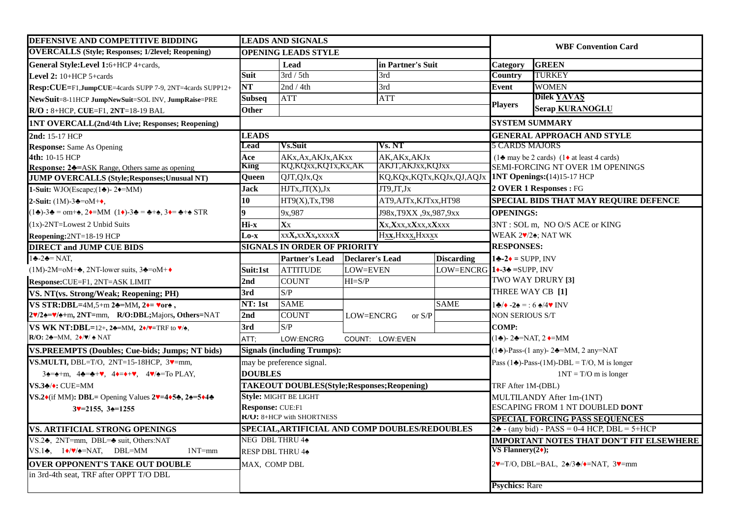| <b>DEFENSIVE AND COMPETITIVE BIDDING</b>                                                                                                                                                                                     | <b>LEADS AND SIGNALS</b>            |                                                |                   |                                                                    | <b>WBF Convention Card</b> |                                                                                                                                |                                                                         |  |
|------------------------------------------------------------------------------------------------------------------------------------------------------------------------------------------------------------------------------|-------------------------------------|------------------------------------------------|-------------------|--------------------------------------------------------------------|----------------------------|--------------------------------------------------------------------------------------------------------------------------------|-------------------------------------------------------------------------|--|
| <b>OVERCALLS</b> (Style; Responses; 1/2level; Reopening)                                                                                                                                                                     |                                     | <b>OPENING LEADS STYLE</b>                     |                   |                                                                    |                            |                                                                                                                                |                                                                         |  |
| General Style:Level 1:6+HCP 4+cards,                                                                                                                                                                                         |                                     | Lead                                           |                   | in Partner's Suit                                                  |                            | Category                                                                                                                       | <b>GREEN</b>                                                            |  |
| Level $2:10+HCP$ 5+cards                                                                                                                                                                                                     | Suit                                | 3rd / 5th                                      |                   | 3rd                                                                |                            | <b>Country</b>                                                                                                                 | <b>TURKEY</b>                                                           |  |
| Resp:CUE=F1,JumpCUE=4cards SUPP 7-9, 2NT=4cards SUPP12+                                                                                                                                                                      | <b>NT</b>                           | 2nd / 4th                                      |                   | 3rd                                                                |                            | Event                                                                                                                          | <b>WOMEN</b>                                                            |  |
| NewSuit=8-11HCP JumpNewSuit=SOL INV, JumpRaise=PRE                                                                                                                                                                           | <b>Subseq</b>                       | <b>ATT</b>                                     |                   | <b>ATT</b>                                                         |                            |                                                                                                                                | <b>Dilek YAVAŞ</b>                                                      |  |
| $R/O: 8+HCP, CUE = F1, 2NT = 18-19 BAL$                                                                                                                                                                                      | Other                               |                                                |                   |                                                                    | <b>Players</b>             | <b>Serap KURANOGLU</b>                                                                                                         |                                                                         |  |
| <b>INT OVERCALL(2nd/4th Live; Responses; Reopening)</b>                                                                                                                                                                      |                                     |                                                |                   |                                                                    | <b>SYSTEM SUMMARY</b>      |                                                                                                                                |                                                                         |  |
| 2nd: 15-17 HCP                                                                                                                                                                                                               | <b>LEADS</b>                        |                                                |                   |                                                                    |                            | <b>GENERAL APPROACH AND STYLE</b>                                                                                              |                                                                         |  |
| <b>Response:</b> Same As Opening                                                                                                                                                                                             | <b>Lead</b>                         | <b>Vs.Suit</b>                                 |                   | Vs. NT                                                             |                            | <b>5 CARDS MAJORS</b>                                                                                                          |                                                                         |  |
| 4th: 10-15 HCP                                                                                                                                                                                                               | Ace                                 | AKx, Ax, AKJx, AKxx                            |                   | AK, AKx, AKJx                                                      |                            |                                                                                                                                | $(1\blacktriangle$ may be 2 cards) $(1\blacktriangle$ at least 4 cards) |  |
| <b>Response: 24=ASK Range, Others same as opening</b>                                                                                                                                                                        | King                                | KQ,KQxx,KQTx,Kx,AK                             |                   | AKJT,AKJxx,KQJxx                                                   |                            |                                                                                                                                | SEMI-FORCING NT OVER 1M OPENINGS                                        |  |
| <b>JUMP OVERCALLS (Style; Responses; Unusual NT)</b>                                                                                                                                                                         | Queen                               | QJT, QJx, Qx                                   |                   |                                                                    |                            |                                                                                                                                | KQ,KQx,KQTx,KQJx,QJ,AQJx 1NT Openings:(14)15-17 HCP                     |  |
| 1-Suit: WJO(Escape; $(1\clubsuit)$ - 2 $\blacklozenge$ =MM)                                                                                                                                                                  | Jack                                | HJTx, JT(X), Jx                                |                   | $JT9JT_Jx$                                                         |                            |                                                                                                                                | 2 OVER 1 Responses : FG                                                 |  |
| 2-Suit: $(1M)$ -3♣= $\circ M + \diamond$ ,                                                                                                                                                                                   | 10                                  | HT9(X), Tx, T98                                |                   | AT9, AJTx, KJTxx, HT98                                             |                            |                                                                                                                                | SPECIAL BIDS THAT MAY REQUIRE DEFENCE                                   |  |
| $(1\clubsuit)$ -3 $\spadesuit$ = om+ $\spadesuit$ , 2 $\spadesuit$ =MM $(1\spadesuit)$ -3 $\clubsuit$ = $\clubsuit$ + $\spadesuit$ , 3 $\spadesuit$ = $\clubsuit$ + $\spadesuit$ STR                                         |                                     | 9x,987                                         |                   | J98x, T9XX, 9x, 987, 9xx                                           |                            | <b>OPENINGS:</b>                                                                                                               |                                                                         |  |
| $(1x)$ -2NT=Lowest 2 Unbid Suits                                                                                                                                                                                             | Hi-x                                | Xx                                             |                   | Xx.Xxx.xXxx.xXxxx                                                  |                            | 3NT: SOL m, NO O/S ACE or KING                                                                                                 |                                                                         |  |
| Reopening:2NT=18-19 HCP                                                                                                                                                                                                      | Lo-x                                | xx <b>X</b> ,xx <b>X</b> x,xxxx <b>X</b>       |                   | Hxx, Hxxx, Hxxxx                                                   |                            | WEAK $2\cdot/2\cdot$ ; NAT WK                                                                                                  |                                                                         |  |
| <b>DIRECT and JUMP CUE BIDS</b>                                                                                                                                                                                              | <b>SIGNALS IN ORDER OF PRIORITY</b> |                                                | <b>RESPONSES:</b> |                                                                    |                            |                                                                                                                                |                                                                         |  |
| $1 - 2 - NAT$ ,                                                                                                                                                                                                              |                                     | <b>Partner's Lead</b>                          | Declarer's Lead   |                                                                    | <b>Discarding</b>          | $1\bigoplus -2\bigotimes =$ SUPP, INV                                                                                          |                                                                         |  |
| $(1M)$ -2M=oM+ $\clubsuit$ , 2NT-lower suits, 3 $\clubsuit$ =oM+ $\bullet$                                                                                                                                                   | Suit:1st                            | <b>ATTITUDE</b>                                | <b>LOW=EVEN</b>   |                                                                    |                            | LOW=ENCRG $1 \rightarrow 3 \rightarrow$ =SUPP, INV                                                                             |                                                                         |  |
| Response: CUE=F1, 2NT=ASK LIMIT                                                                                                                                                                                              | 2nd                                 | <b>COUNT</b>                                   | $HI = S/P$        |                                                                    |                            | TWO WAY DRURY [3]                                                                                                              |                                                                         |  |
| VS. NT(vs. Strong/Weak; Reopening; PH)                                                                                                                                                                                       | 3rd                                 | S/P                                            |                   |                                                                    |                            | THREE WAY CB [1]                                                                                                               |                                                                         |  |
| VS STR:DBL=4M,5+m 2 $\triangle$ =MM, 2 $\triangle$ = vor $\triangle$ ,                                                                                                                                                       | NT: 1st                             | <b>SAME</b>                                    |                   |                                                                    | <b>SAME</b>                | $1\clubsuit/\bullet$ -2♠ = : 6 ♠/4♥ INV                                                                                        |                                                                         |  |
| 2V/24=V/4+m, 2NT=mm, R/O:DBL;Majors, Others=NAT                                                                                                                                                                              | 2nd                                 | <b>COUNT</b>                                   | LOW=ENCRG         | or $\ensuremath{\mathrm{S}}\xspace/\ensuremath{\mathrm{P}}\xspace$ |                            | NON SERIOUS S/T                                                                                                                |                                                                         |  |
| VS WK NT:DBL=12+, 24=MM, $2\sqrt{v}$ =TRF to $\sqrt{v}$ ,                                                                                                                                                                    | 3rd                                 | S/P                                            |                   |                                                                    |                            | <b>COMP:</b>                                                                                                                   |                                                                         |  |
| $R/O: 2\triangleq=MM$ , $2\triangleleft/\blacktriangledown/\triangleleft NAT$                                                                                                                                                | ATT;                                | LOW:ENCRG                                      |                   | COUNT: LOW: EVEN                                                   |                            | $(1\clubsuit)$ - 2 $\clubsuit$ =NAT, 2 $\spadesuit$ =MM                                                                        |                                                                         |  |
| <b>VS.PREEMPTS (Doubles; Cue-bids; Jumps; NT bids)</b>                                                                                                                                                                       |                                     | <b>Signals (including Trumps):</b>             |                   |                                                                    |                            |                                                                                                                                | $(1\clubsuit)$ -Pass- $(1 \text{ any})$ - 2 $\clubsuit$ =MM, 2 any=NAT  |  |
| VS.MULTI, DBL=T/O, $2NT=15-18HCP$ , $3\blacktriangledown=mm$ ,                                                                                                                                                               |                                     | may be preference signal.                      |                   |                                                                    |                            |                                                                                                                                | Pass (14)-Pass-(1M)-DBL = $T/O$ , M is longer                           |  |
| $3\blacktriangle = \blacktriangle + m$ , $4\blacktriangle = \blacktriangle + \blacktriangledown$ , $4\blacktriangledown = \blacktriangledown + \blacktriangledown$ , $4\blacktriangledown/\blacktriangle = \text{To PLAY}$ , | <b>DOUBLES</b>                      |                                                |                   |                                                                    |                            |                                                                                                                                | $1NT = T/O$ m is longer                                                 |  |
| VS.3♣/◆: CUE=MM                                                                                                                                                                                                              |                                     | TAKEOUT DOUBLES(Style; Responses; Reopening)   |                   |                                                                    |                            | TRF After 1M-(DBL)                                                                                                             |                                                                         |  |
| VS.2 $\cdot$ (if MM): DBL= Opening Values 2 $\cdot$ =4 $\cdot$ 5 $\cdot$ , 2 $\cdot$ =5 $\cdot$ 4 $\cdot$                                                                                                                    |                                     | Style: MIGHT BE LIGHT                          |                   |                                                                    |                            | MULTILANDY After 1m-(1NT)                                                                                                      |                                                                         |  |
| $3$ v=2155, $3\spadesuit$ =1255                                                                                                                                                                                              | Response: CUE:F1                    |                                                |                   |                                                                    |                            |                                                                                                                                | ESCAPING FROM 1 NT DOUBLED DONT                                         |  |
|                                                                                                                                                                                                                              | <b>K/O:</b> 8+HCP with SHORTNESS    |                                                |                   |                                                                    |                            |                                                                                                                                | <b>SPECIAL FORCING PASS SEQUENCES</b>                                   |  |
| VS. ARTIFICIAL STRONG OPENINGS                                                                                                                                                                                               |                                     | SPECIAL, ARTIFICIAL AND COMP DOUBLES/REDOUBLES |                   |                                                                    |                            |                                                                                                                                | $2\clubsuit$ - (any bid) - PASS = 0-4 HCP, DBL = 5+HCP                  |  |
| VS.2→, 2NT=mm, DBL=→ suit, Others:NAT                                                                                                                                                                                        | NEG DBL THRU 44                     |                                                |                   |                                                                    |                            |                                                                                                                                | <b>IMPORTANT NOTES THAT DON'T FIT ELSEWHERE</b>                         |  |
| VS.14, $1\blacklozenge/\blacktriangledown/\blacktriangle =$ NAT, DBL=MM<br>$1NT=mm$                                                                                                                                          | RESP DBL THRU 44                    |                                                |                   |                                                                    | VS Flannery $(2\bullet)$ ; |                                                                                                                                |                                                                         |  |
| <b>OVER OPPONENT'S TAKE OUT DOUBLE</b>                                                                                                                                                                                       | MAX, COMP DBL                       |                                                |                   |                                                                    |                            | $2\blacktriangledown$ =T/O, DBL=BAL, $2\blacktriangle/3\blacktriangleright/\blacktriangledown$ =NAT, $3\blacktriangledown$ =mm |                                                                         |  |
| in 3rd-4th seat, TRF after OPPT T/O DBL                                                                                                                                                                                      |                                     |                                                |                   |                                                                    |                            |                                                                                                                                |                                                                         |  |
|                                                                                                                                                                                                                              |                                     |                                                |                   |                                                                    |                            | <b>Psychics: Rare</b>                                                                                                          |                                                                         |  |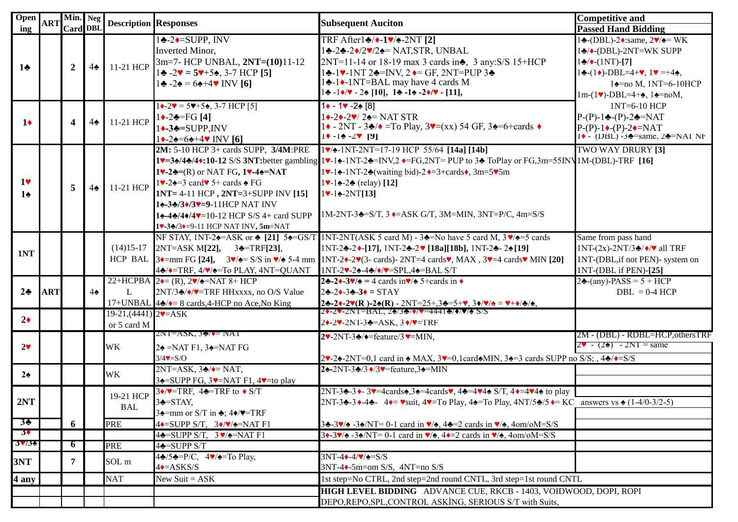| <b>Open</b>                     | <b>ART</b> | Min. Neg<br><b>Card DBL</b> |               | <b>Description Responses</b>                              |                                                                                                                                                                                                                                                                                                                                                                                                               | <b>Subsequent Auciton</b>                                                                                                                                                                                                                                                                                                                                                                                                                      | <b>Competitive and</b>                                                                                                                                                                                                                                                                         |
|---------------------------------|------------|-----------------------------|---------------|-----------------------------------------------------------|---------------------------------------------------------------------------------------------------------------------------------------------------------------------------------------------------------------------------------------------------------------------------------------------------------------------------------------------------------------------------------------------------------------|------------------------------------------------------------------------------------------------------------------------------------------------------------------------------------------------------------------------------------------------------------------------------------------------------------------------------------------------------------------------------------------------------------------------------------------------|------------------------------------------------------------------------------------------------------------------------------------------------------------------------------------------------------------------------------------------------------------------------------------------------|
| ing                             |            |                             |               |                                                           | $1\bigstar - 2\bigstar = \text{SUPP}, \text{INV}$                                                                                                                                                                                                                                                                                                                                                             | $TRF$ After $1\div$ $\leftrightarrow$ $-1\div$ $\leftrightarrow$ $-2NT$ [2]                                                                                                                                                                                                                                                                                                                                                                    | <b>Passed Hand Bidding</b><br>$1\bigstar$ -(DBL)-2 $\bullet$ :same, $2\blacktriangledown/\bullet$ = WK                                                                                                                                                                                         |
| $1\bullet$                      |            | $\overline{2}$              | $4\spadesuit$ | 11-21 HCP                                                 | Inverted Minor,<br>3m=7- HCP UNBAL, 2NT=(10)11-12<br>$1\clubsuit -2\mathbf{v} = 5\mathbf{v} + 5\mathbf{e}$ , 3-7 HCP [5]<br>$1\clubsuit -2\spadesuit = 6\spadesuit +4\mathbf{v}$ INV [6]                                                                                                                                                                                                                      | 1÷-2÷-2◆/2♥/2÷= NAT,STR, UNBAL<br>2NT=11-14 or 18-19 max 3 cards in., 3 any: S/S 15+HCP<br>$1\bigstar$ -1 $\vee$ -1NT 2 $\bigstar$ =INV, 2 $\bigstar$ = GF, 2NT=PUP 3 $\bigstar$<br>14-1√-1NT=BAL may have 4 cards M<br>$1 \cdot 1 \cdot 7 \cdot 2 \cdot 10$ , $1 \cdot 1 \cdot 2 \cdot 7 \cdot 11$ ,                                                                                                                                          | $1\clubsuit/\bullet$ -(DBL)-2NT=WK SUPP<br>$1\clubsuit/\bullet$ -(1NT)-[7]<br>$1\clubsuit$ - $(1\spadesuit)$ -DBL=4+ $\spadesuit$ , $1\spadesuit$ =+4 $\spadesuit$ ,<br>$1\blacktriangle$ =no M, 1NT=6-10HCP<br>$1m-(1\blacktriangleright)$ -DBL=4+ $\blacktriangle$ , $1\blacktriangle$ =noM, |
| $1\bullet$                      |            | 4                           | $4\spadesuit$ | 11-21 HCP                                                 | $1\bigarrow 2\mathbf{v} = 5\mathbf{v} + 5\mathbf{A}$ , 3-7 HCP [5]<br>$1 \rightarrow -2 \cdot = FG [4]$<br>$1 \leftarrow 3 \leftarrow$ =SUPP.INV<br>$1 \rightarrow -2 \cdot 5 \cdot 4 + 4 \cdot \text{INV}$ [6]                                                                                                                                                                                               | $1 \cdot - 1 \cdot -2 \cdot 8$<br>$1\leftarrow 2\leftarrow 2\mathbf{v}/2\mathbf{v} = \text{NAT STR}$<br>$1\blacklozenge$ - 2NT - 3 $\blacklozenge/\blacklozenge$ =To Play, 3 $\blacktriangledown$ =(xx) 54 GF, 3 $\blacklozenge$ =6+cards $\blacklozenge$<br>$1$ + $-1$ $-2$ $-2$ $-1$ $9$                                                                                                                                                     | 1NT=6-10 HCP<br>$P-(P)-1$ $\triangle$ - $(P)-2$ $\triangle$ =NAT<br>$P-(P)-1 \rightarrow (P)-2 \rightarrow = NAT$<br>$1\bullet$ - (DBL) -3 $\bullet$ =same, 2 $\bullet$ =NAT NF                                                                                                                |
| 1 <sub>v</sub><br>$1\spadesuit$ |            | 5                           |               | 4 <sup><math>\bullet</math></sup> 11-21 HCP               | 2M: 5-10 HCP 3+ cards SUPP, 3/4M:PRE<br>$1$ . $2$ . $=$ (R) or NAT FG, $1$ . $-4$ . $=$ NAT<br>$1\blacktriangledown$ -2 $\blacktriangle$ =3 card $\blacktriangledown$ 5+ cards $\blacktriangle$ FG<br>$1NT = 4-11 HCP$ , $2NT = 3+SUPP INV [15]$<br>14-34/34/37=9-11HCP NAT INV<br>$1\spadesuit - 4\spadesuit / 4\spadesuit - 10 - 12$ HCP S/S 4+ card SUPP<br>1v-3 <sup>*</sup> /3+=9-11 HCP NAT INV, 5m=NAT | $1\blacktriangledown$ / $\blacktriangle$ -1NT-2NT=17-19 HCP 55/64 [14a] [14b]<br>$1^\vee=3$ :/4:/4:10-12 S/S 3NT:better gambling $1^\vee-1$ : NT-2:: $\leftarrow$ FG,2NT= PUP to 3: ToPlay or FG,3m=55IN 1M-(DBL)-TRF [16]<br>1V-14-1NT-24 (waiting bid)-20=3+cards(, 3m=5V5m)<br>$1 \cdot -1 \cdot -2 \cdot (relay)$ [12]<br>$1 \cdot - 1 \cdot - 2NT[13]$<br>$1M-2NT-3 = S/T$ , $3 \rightarrow ASK$ G/T, $3M=MIN$ , $3NT = P/C$ , $4m = S/S$ | <b>TWO WAY DRURY [3]</b>                                                                                                                                                                                                                                                                       |
| 1NT                             |            |                             |               | $(14)15-17$                                               | $2NT = ASK M[22], 3 = TRF[23],$<br>44/ TRF, 4/ / = To PLAY, 4NT=QUANT                                                                                                                                                                                                                                                                                                                                         | NF STAY, 1NT-2 $\triangleq$ =ASK or $\triangleq$ [21] 5 $\triangleq$ =GS/T 1NT-2NT(ASK 5 card M) - 3 $\triangleq$ =No have 5 card M, 3 $\sqrt{2}$ =5 cards<br>1NT-2♣-2♦-[17], 1NT-2♣-2♥ [18a][18b], 1NT-2♣-2♠[19]<br>HCP BAL $3$ = mm FG [24], $3\sqrt{2}$ = S/S in $\sqrt{2}$ 5-4 mm INT-2 $\sqrt{2}$ (3- cards) - 2NT=4 cards $\sqrt{2}$ , MAX, $3\sqrt{2}$ + cards $\sqrt{2}$ MIN [20]<br>1NT-2V-24-44/ $\blacklozenge$ /V=SPL,44=BAL S/T   | Same from pass hand<br>$1NT-(2x)-2NT/3$ $\triangle$ / $\blacklozenge$ / $\blacktriangledown$ all TRF<br>1NT-(DBL, if not PEN)- system on<br>1NT-(DBL if PEN)-[25]                                                                                                                              |
| $2\clubsuit$                    | ART        |                             | $4\spadesuit$ | L                                                         | 22+HCPBA $2 \rightarrow (R)$ , $2 \rightarrow \rightarrow NAT$ 8+ HCP<br>2NT/3♣/◆/♥=TRF HHxxxx, no O/S Value<br>17+UNBAL $4\clubsuit/\bullet=8$ cards, 4-HCP no Ace, No King                                                                                                                                                                                                                                  | 24-24-3 $\sqrt{4}$ = 4 cards in $\sqrt{4}$ 5+cards in $\sqrt{4}$<br>$2\div 2\div 3\div 3\div =$ STAY<br>$2\clubsuit -2\blacktriangleright -2\blacktriangleright (R) -2\blacktriangleright (R) -2NT = 25+, 3\clubsuit = 5+\blacktriangleright, 3\blacktriangleright / \blacktriangleright / \spadesuit = \blacktriangleright +\blacktriangleright / \clubsuit / \spadesuit,$                                                                    | $2\clubsuit$ -(any)-PASS = 5 + HCP<br>$DBL = 0-4 HCP$                                                                                                                                                                                                                                          |
| $2\bullet$                      |            |                             |               | $19-21,(4441)$ $2\blacktriangledown = ASK$<br>or 5 card M |                                                                                                                                                                                                                                                                                                                                                                                                               | 20-20-2NT=BAL, 20/30/07=44410/070 S/S<br>20-20-2NT-30=ASK, 30/0=TRF                                                                                                                                                                                                                                                                                                                                                                            |                                                                                                                                                                                                                                                                                                |
| $2\blacktriangledown$           |            |                             |               | <b>WK</b>                                                 | $2NI = ASK$ , 3♦/ $\blacklozenge = NAT$<br>$2\spadesuit$ =NAT F1, 3 $\spadesuit$ =NAT FG<br>$3/4$ V=S/O                                                                                                                                                                                                                                                                                                       | $2\blacktriangledown$ -2NT-3 $\blacktriangledown$ / $\blacktriangledown$ =feature/3 $\blacktriangledown$ =MIN,<br>$2\blacktriangleright$ -2NT=0,1 card in $\blacktriangleright$ MAX, $3\blacktriangleright$ =0,1 card $\blacktriangleright$ MIN, $3\blacktriangleright$ =3 cards SUPP no S/S; $4\blacktriangleright$ ( $\blacktriangleright$ =S/S                                                                                              | 2M - (DBL) - RDBL=HCP, othersTRF<br>$2^{\circ} - (2^{\circ}) - 2NT = \text{same}$                                                                                                                                                                                                              |
| $2\spadesuit$                   |            |                             |               | WK                                                        | $2NT = ASK$ , $3\clubsuit/\spadesuit = NAT$ ,<br>$3\triangle =$ SUPP FG, $3\blacktriangledown =$ NAT F1, $4\blacktriangledown =$ to play                                                                                                                                                                                                                                                                      | 24-2NT-34/3 +/3 + = feature, 34=MIN                                                                                                                                                                                                                                                                                                                                                                                                            |                                                                                                                                                                                                                                                                                                |
| 2NT                             |            |                             |               | 19-21 HCP<br><b>BAL</b>                                   | $3\sqrt{\text{V}}$ =TRF, 4 $\triangle$ =TRF to $\triangle$ S/T<br>$3\bigtriangleup=STAY$ ,<br>$3\triangle =$ mm or S/T in $\triangle$ ; 4 $\triangle$ / $\P$ =TRF                                                                                                                                                                                                                                             | 2NT-3 $\triangle$ -3 $\triangle$ -3 $\triangle$ =4cards $\triangle$ ,3 $\triangle$ =4cards $\triangledown$ ,4 $\triangle$ =4 $\triangledown$ 4 $\triangle$ S/T,4 $\triangle$ =4 $\triangledown$ 4 $\triangle$ to play<br>2NT-3A-3 $\rightarrow$ 4A-4A-4+ Wsuit, 4V=To Play, 4A=To Play, 4NT/5A/5 $\rightarrow$ KC answers vs A (1-4/0-3/2-5)                                                                                                   |                                                                                                                                                                                                                                                                                                |
| $3\cdot$<br>3 <sup>4</sup>      |            | 6                           |               | <b>PRE</b>                                                | $4\bullet$ =SUPP S/T, $3\bullet/\blacktriangledown/\blacktriangle$ =NAT F1<br>$4\clubsuit =$ SUPP S/T, $3\blacktriangledown/\spadesuit =$ NAT F1                                                                                                                                                                                                                                                              | $3\clubsuit -3\blacktriangleright/\spadesuit -3\spadesuit/\text{NT} = 0-1$ card in $\blacktriangleright/\spadesuit$ , $4\clubsuit = 2$ cards in $\blacktriangleright/\spadesuit$ , $4\text{om}/\text{oM} = \text{S/S}$<br>$3\rightarrow 3\sqrt{2}$ -3 $\sqrt{NT}$ = 0-1 card in $\sqrt{4}$ , 4 $\rightarrow$ 2 cards in $\sqrt{4}$ , 4om/oM=S/S                                                                                                |                                                                                                                                                                                                                                                                                                |
| $3\sqrt{36}$                    |            | 6                           |               | <b>PRE</b>                                                | 4 <del>4</del> =SUPP S/T                                                                                                                                                                                                                                                                                                                                                                                      |                                                                                                                                                                                                                                                                                                                                                                                                                                                |                                                                                                                                                                                                                                                                                                |
| 3NT                             |            | 7                           |               | SOL m                                                     | $4\clubsuit/5\clubsuit = P/C$ , $4\blacktriangledown/\spadesuit = To$ Play,<br>$4 \leftarrow ASKS/S$                                                                                                                                                                                                                                                                                                          | $3NT-44-4/\sqrt{4}=S/S$<br>$3NT-4$ - $5m=om S/S$ , $4NT=no S/S$                                                                                                                                                                                                                                                                                                                                                                                |                                                                                                                                                                                                                                                                                                |
| 4 any                           |            |                             |               | <b>NAT</b>                                                | New Suit = $ASK$                                                                                                                                                                                                                                                                                                                                                                                              | 1st step=No CTRL, 2nd step=2nd round CNTL, 3rd step=1st round CNTL                                                                                                                                                                                                                                                                                                                                                                             |                                                                                                                                                                                                                                                                                                |
|                                 |            |                             |               |                                                           |                                                                                                                                                                                                                                                                                                                                                                                                               | HIGH LEVEL BIDDING ADVANCE CUE, RKCB - 1403, VOIDWOOD, DOPI, ROPI<br>DEPO,REPO,SPL,CONTROL ASKING, SERIOUS S/T with Suits,                                                                                                                                                                                                                                                                                                                     |                                                                                                                                                                                                                                                                                                |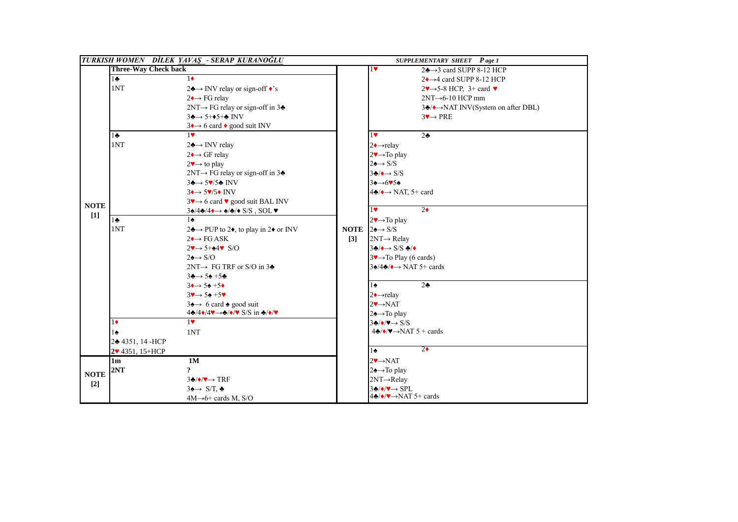|             | TURKISH WOMEN DİLEK YAVAS - SERAP KURANOĞLU |                                                                                                                                                            |                   | <b>SUPPLEMENTARY SHEET</b> Page 1                                                      |                                                                                |  |
|-------------|---------------------------------------------|------------------------------------------------------------------------------------------------------------------------------------------------------------|-------------------|----------------------------------------------------------------------------------------|--------------------------------------------------------------------------------|--|
|             | <b>Three-Way Check back</b>                 |                                                                                                                                                            |                   | $1$ v                                                                                  | $2\clubsuit \rightarrow 3$ card SUPP 8-12 HCP                                  |  |
|             | $1\bullet$                                  | $1\bullet$                                                                                                                                                 |                   |                                                                                        | $2 \rightarrow 4$ card SUPP 8-12 HCP                                           |  |
|             | 1NT                                         | $2\clubsuit$ → INV relay or sign-off $\triangle$ 's                                                                                                        |                   |                                                                                        | $2\blacktriangledown \rightarrow 5\text{-}8$ HCP, 3+ card $\blacktriangledown$ |  |
|             |                                             | $2 \rightarrow \text{FG relay}$                                                                                                                            |                   |                                                                                        | $2NT \rightarrow 6-10$ HCP mm                                                  |  |
|             |                                             | $2NT \rightarrow FG$ relay or sign-off in 34                                                                                                               |                   |                                                                                        | $3\clubsuit/\bullet \rightarrow$ NAT INV(System on after DBL)                  |  |
|             |                                             | $3\clubsuit \rightarrow 5+\spadesuit 5+\clubsuit \text{INV}$                                                                                               |                   |                                                                                        | $3 \rightarrow PRE$                                                            |  |
|             |                                             | $3 \rightarrow 6$ card $\bullet$ good suit INV                                                                                                             |                   |                                                                                        |                                                                                |  |
|             | $1\bullet$                                  | $1$ v                                                                                                                                                      |                   | 1                                                                                      | 2 <sub>2</sub>                                                                 |  |
|             | 1NT                                         | $2 \rightarrow \text{INV}$ relay                                                                                                                           |                   | $2 \rightarrow$ relay                                                                  |                                                                                |  |
|             |                                             | $2 \rightarrow \text{GF}$ relay                                                                                                                            |                   | $2 \rightarrow \text{To play}$                                                         |                                                                                |  |
|             |                                             | $2\blacktriangledown \rightarrow$ to play                                                                                                                  |                   | $2 \rightarrow S/S$                                                                    |                                                                                |  |
|             |                                             | $2NT \rightarrow FG$ relay or sign-off in 3 $\triangle$                                                                                                    |                   | $3\clubsuit/\bullet \rightarrow S/S$                                                   |                                                                                |  |
|             |                                             | $3 \rightarrow 5 \sqrt{5} \cdot \text{INV}$                                                                                                                |                   | $3\spadesuit \rightarrow 6\spadesuit 5\spadesuit$                                      |                                                                                |  |
|             |                                             | $3 \rightarrow 5 \overline{v}/5 \rightarrow \text{INV}$                                                                                                    |                   | $4\clubsuit/\bullet \rightarrow$ NAT, 5+ card                                          |                                                                                |  |
| <b>NOTE</b> |                                             | $3\rightarrow 6$ card $\bullet$ good suit BAL INV                                                                                                          |                   |                                                                                        |                                                                                |  |
| $[1]$       |                                             | $3\spadesuit/4\spadesuit/4\leftrightarrow\spadesuit/\spadesuit/\spadesuit S/S$ , SOL $\blacktriangledown$                                                  |                   | $\overline{1}$                                                                         | $2\bullet$                                                                     |  |
|             | $1 -$                                       | $1\spadesuit$                                                                                                                                              |                   | $2 \rightarrow \text{To play}$                                                         |                                                                                |  |
|             | 1NT                                         | $2\clubsuit \rightarrow$ PUP to 2♦, to play in 2♦ or INV                                                                                                   |                   | <b>NOTE</b> $24 \rightarrow S/S$                                                       |                                                                                |  |
|             |                                             | $2 \rightarrow$ FG ASK                                                                                                                                     | $\lceil 3 \rceil$ | $2NT \rightarrow$ Relay                                                                |                                                                                |  |
|             |                                             | $2\rightarrow 5+44\$ S/O                                                                                                                                   |                   | $3\clubsuit/\blacklozenge \rightarrow$ S/S $\clubsuit/\blacklozenge$                   |                                                                                |  |
|             |                                             | $2 \rightarrow S/O$                                                                                                                                        |                   | $3\rightarrow\rightarrow\rightarrow$ Play (6 cards)                                    |                                                                                |  |
|             |                                             | $2NT \rightarrow FG TRF$ or S/O in 34                                                                                                                      |                   | $3\div(4\div4) \rightarrow \text{NAT } 5+$ cards                                       |                                                                                |  |
|             |                                             | $3\clubsuit \rightarrow 5\spadesuit + 5\clubsuit$                                                                                                          |                   |                                                                                        |                                                                                |  |
|             |                                             | $3 \rightarrow 5 \div 5 \rightarrow$                                                                                                                       |                   | $1\spadesuit$                                                                          | 2 <sub>2</sub>                                                                 |  |
|             |                                             | $3\rightarrow 54 + 5\%$                                                                                                                                    |                   | $2 \rightarrow$ relay                                                                  |                                                                                |  |
|             |                                             | $3\spadesuit \rightarrow 6$ card $\spadesuit$ good suit                                                                                                    |                   | $2 \rightarrow NAT$                                                                    |                                                                                |  |
|             |                                             | $4\clubsuit/4\blacklozenge/4\blacktriangledown \rightarrow \clubsuit/\blacklozenge/\blacktriangledown$ S/S in $\clubsuit/\blacklozenge/\blacktriangledown$ |                   | $2 \triangle \rightarrow$ To play                                                      |                                                                                |  |
|             | $1\bullet$                                  | $1$ v                                                                                                                                                      |                   | $3\clubsuit/\blacklozenge/\blacktriangledown \rightarrow S/S$                          |                                                                                |  |
|             | 1♠                                          | 1NT                                                                                                                                                        |                   | $4\clubsuit/\blacklozenge/\blacktriangledown \rightarrow \text{NAT } 5 + \text{cards}$ |                                                                                |  |
|             | 2+4351, 14-HCP                              |                                                                                                                                                            |                   | $2\bullet$<br>$1\spadesuit$                                                            |                                                                                |  |
|             | 2v 4351, 15+HCP                             |                                                                                                                                                            |                   |                                                                                        |                                                                                |  |
|             | 1 <sub>m</sub>                              | 1M                                                                                                                                                         |                   | $2 \rightarrow \text{NAT}$                                                             |                                                                                |  |
| <b>NOTE</b> | 2NT                                         | <sup>2</sup>                                                                                                                                               |                   | $2 \triangle \rightarrow$ To play                                                      |                                                                                |  |
| $[2]$       |                                             | $3\clubsuit/\blacklozenge/\blacktriangledown \rightarrow \text{TRF}$                                                                                       |                   | $2NT \rightarrow$ Relay                                                                |                                                                                |  |
|             |                                             | $3 \rightarrow S/T$ .                                                                                                                                      |                   | $3\clubsuit/\blacklozenge/\blacktriangledown \rightarrow$ SPL                          |                                                                                |  |
|             |                                             | $4M\rightarrow 6+$ cards M, S/O                                                                                                                            |                   | $4\clubsuit/\blacklozenge/\blacktriangledown \rightarrow \text{NAT } 5+$ cards         |                                                                                |  |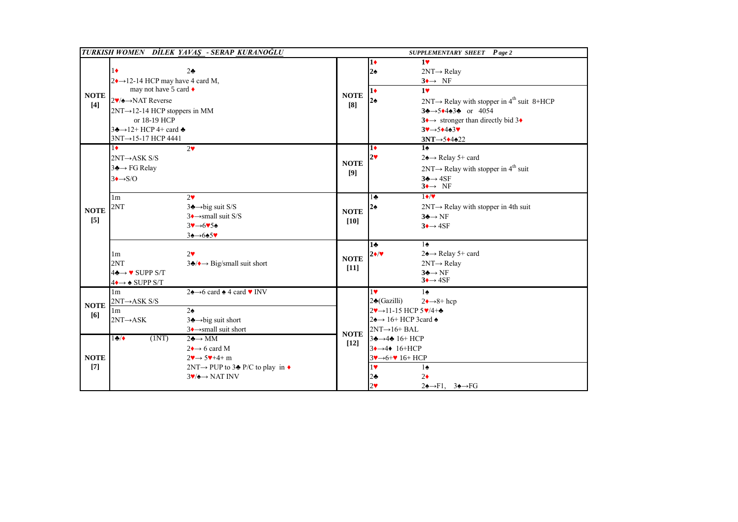|                      | TURKISH WOMEN DİLEK YAVAŞ - SERAP KURANOĞLU                                                                                                                                                                                                                |                                                                                                                                                                                                                 |                       |                                                                                                                                                                                                                                            | SUPPLEMENTARY SHEET Page 2                                                                                                                                                                                                                                                                                                                                             |
|----------------------|------------------------------------------------------------------------------------------------------------------------------------------------------------------------------------------------------------------------------------------------------------|-----------------------------------------------------------------------------------------------------------------------------------------------------------------------------------------------------------------|-----------------------|--------------------------------------------------------------------------------------------------------------------------------------------------------------------------------------------------------------------------------------------|------------------------------------------------------------------------------------------------------------------------------------------------------------------------------------------------------------------------------------------------------------------------------------------------------------------------------------------------------------------------|
| <b>NOTE</b><br>$[4]$ | $1\bullet$<br>2 <sub>2</sub><br>$2 \rightarrow 12 - 14$ HCP may have 4 card M,<br>may not have 5 card ♦<br>2♥/◆→NAT Reverse<br>2NT→12-14 HCP stoppers in MM<br>or 18-19 HCP<br>$3\clubsuit \rightarrow 12+ HCP 4+$ card $\spadesuit$<br>3NT→15-17 HCP 4441 |                                                                                                                                                                                                                 | <b>NOTE</b><br>[8]    | 10<br>$2\spadesuit$<br>$1+$<br>$2\spadesuit$                                                                                                                                                                                               | $1$ v<br>$2NT \rightarrow$ Relay<br>$3 \rightarrow \text{NF}$<br>1 <sub>v</sub><br>$2NT \rightarrow$ Relay with stopper in 4 <sup>th</sup> suit 8+HCP<br>$3\clubsuit \rightarrow 5\spadesuit 4\spadesuit 3\clubsuit$ or 4054<br>$3 \rightarrow$ stronger than directly bid 3+<br>$3 \rightarrow 5 \rightarrow 4 \rightarrow 3 \rightarrow$<br>$3NT \rightarrow 5*4*22$ |
|                      | $1\bullet$<br>2 <sup>4</sup><br>$2NT \rightarrow ASK S/S$<br>$3 \rightarrow F$ G Relay<br>$3 \rightarrow S/O$<br>2 <sub>9</sub>                                                                                                                            |                                                                                                                                                                                                                 | <b>NOTE</b><br>[9]    | 10<br>$2\blacktriangledown$<br>$1 -$                                                                                                                                                                                                       | $\overline{1}$<br>2 <del>4→</del> Relay 5+ card<br>$2NT \rightarrow$ Relay with stopper in 4 <sup>th</sup> suit<br>$3\clubsuit \rightarrow 4SF$<br>$3 \rightarrow \text{NF}$<br>$1 \bullet / \bullet$                                                                                                                                                                  |
| <b>NOTE</b><br>$[5]$ | 1 <sub>m</sub><br>2NT                                                                                                                                                                                                                                      | $3 \triangle \rightarrow$ big suit S/S<br>$3 \rightarrow$ small suit S/S<br>$3 \rightarrow 6 \times 54$<br>$34 \rightarrow 645$                                                                                 | <b>NOTE</b><br>$[10]$ | $2\spadesuit$                                                                                                                                                                                                                              | $2NT \rightarrow$ Relay with stopper in 4th suit<br>$3 \oplus \rightarrow NF$<br>$3 \rightarrow 4SF$                                                                                                                                                                                                                                                                   |
|                      | $2\blacktriangledown$<br>1 <sub>m</sub><br>2NT<br>$4\clubsuit \rightarrow \bullet$ SUPP S/T<br>$4 \rightarrow \bullet$ SUPP S/T                                                                                                                            | $3\clubsuit/\bullet \rightarrow$ Big/small suit short                                                                                                                                                           | <b>NOTE</b><br>$[11]$ | 1÷<br>$2 \cdot \sqrt{2}$                                                                                                                                                                                                                   | $\overline{1\cdot}$<br>$2\spadesuit \rightarrow$ Relay 5+ card<br>$2NT \rightarrow$ Relay<br>$3 \oplus \rightarrow NF$<br>$3 \rightarrow 4SF$                                                                                                                                                                                                                          |
| <b>NOTE</b><br>[6]   | 1 <sub>m</sub><br>$2NT \rightarrow ASK S/S$<br>1 <sub>m</sub><br>$2\spadesuit$<br>$2NT \rightarrow ASK$                                                                                                                                                    | $2\spadesuit \rightarrow 6$ card $\spadesuit$ 4 card $\blacktriangledown$ INV<br>$3 \rightarrow big$ suit short<br>$3 \rightarrow$ small suit short                                                             | <b>NOTE</b>           | $1$ v<br>2♣(Gazilli)<br>$2\blacktriangledown \rightarrow 11-15$ HCP $5\blacktriangledown/4+\clubsuit$<br>$2\spadesuit \rightarrow 16+ HCP$ 3 card $\spadesuit$<br>$2NT \rightarrow 16 + BAL$                                               | $1\spadesuit$<br>$2 \rightarrow 8 + \text{hcp}$                                                                                                                                                                                                                                                                                                                        |
| <b>NOTE</b><br>$[7]$ | (1NT)<br>1.4                                                                                                                                                                                                                                               | $2\clubsuit \rightarrow MM$<br>$2 \rightarrow 6$ card M<br>$2\rightarrow 5\rightarrow +4+m$<br>$2NT \rightarrow PUP$ to 34 P/C to play in $\bullet$<br>$3\blacktriangledown/\blacktriangle \rightarrow$ NAT INV | $[12]$                | $34 \rightarrow 44 16 + HCP$<br>$3 \rightarrow 4 \rightarrow 16 + HCP$<br>$3\rightarrow 6+\rightarrow 16+ HCP$<br>1<br>$1\spadesuit$<br>$2\bullet$<br>2.5<br>$2\spadesuit \rightarrow F1$ , $3\spadesuit \rightarrow FG$<br>2 <sub>v</sub> |                                                                                                                                                                                                                                                                                                                                                                        |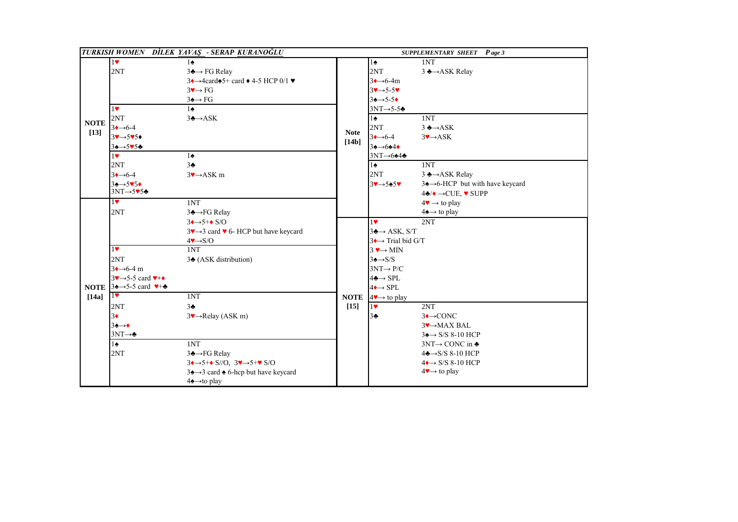|                       |                                                                                                                                              | TURKISH WOMEN DİLEK YAVAŞ - SERAP KURANOĞLU                                                                                                                                                                                                                                                 |                      |                                                                                                                                                                                                                                                                                   | SUPPLEMENTARY SHEET Page 3                                                                                                                                                                                                                                      |
|-----------------------|----------------------------------------------------------------------------------------------------------------------------------------------|---------------------------------------------------------------------------------------------------------------------------------------------------------------------------------------------------------------------------------------------------------------------------------------------|----------------------|-----------------------------------------------------------------------------------------------------------------------------------------------------------------------------------------------------------------------------------------------------------------------------------|-----------------------------------------------------------------------------------------------------------------------------------------------------------------------------------------------------------------------------------------------------------------|
| <b>NOTE</b><br>$[13]$ | 1<br>2NT<br>$1$ v<br>2NT<br>$3 \rightarrow 6-4$<br>$34 \rightarrow 545$<br>$34 \rightarrow 545$<br>$1$ v<br>2NT                              | $1\spadesuit$<br>$3 \triangle \rightarrow FG$ Relay<br>$3 \rightarrow 4$ card $\spadesuit 5$ + card $\spadesuit$ 4-5 HCP 0/1 $\blacktriangledown$<br>$3 \rightarrow F$<br>$3\spadesuit \rightarrow FG$<br>$1\spadesuit$<br>$3 \triangle \rightarrow ASK$<br>$1\spadesuit$<br>3 <sub>2</sub> | <b>Note</b><br>[14b] | $1\spadesuit$<br>2NT<br>$3 \rightarrow 6-4m$<br>$3 \rightarrow 5 - 5 \rightarrow$<br>$34 \rightarrow 5-54$<br>$3NT \rightarrow 5-5$<br>$1\spadesuit$<br>2NT<br>$3 \rightarrow 6-4$<br>$3\spadesuit \rightarrow 6\spadesuit 4\spadesuit$<br>$3NT \rightarrow 644$<br>$1\spadesuit$ | 1NT<br>3 ♣→ASK Relay<br>1NT<br>$3 \triangle ASK$<br>$3 \rightarrow ASK$<br>1NT                                                                                                                                                                                  |
|                       | $3 \rightarrow 6-4$<br>$3\spadesuit \rightarrow 5\spadesuit 5\spadesuit$<br>$3NT \rightarrow 545$<br>$\overline{\mathbf{R}}$<br>2NT          | $3 \rightarrow ASK$ m<br>1NT<br>3♣→FG Relay                                                                                                                                                                                                                                                 |                      | 2NT<br>$34 - 5454$                                                                                                                                                                                                                                                                | 3 ♣→ASK Relay<br>34→6-HCP but with have keycard<br>$4\clubsuit/\bullet \rightarrow$ CUE, $\blacktriangledown$ SUPP<br>$4\blacktriangledown \rightarrow$ to play<br>$4\spadesuit \rightarrow$ to play                                                            |
| [14a]                 | 1<br>2NT<br>$3 \rightarrow 6-4 \text{ m}$<br>$3\rightarrow 5-5$ card $\rightarrow +$<br><b>NOTE</b> $34 \rightarrow 5-5$ card $4+4$<br>$1$ V | $3 \rightarrow 5 + \bullet S/O$<br>$3\rightarrow 3$ card $\triangledown$ 6- HCP but have keycard<br>$4 \rightarrow S/O$<br>1NT<br>34 (ASK distribution)<br>1NT                                                                                                                              | <b>NOTE</b>          | 1 <sub>v</sub><br>$3 \rightarrow ASK$ , S/T<br>$3 \rightarrow$ Trial bid G/T<br>$3 \rightarrow MIN$<br>$3 \triangle \rightarrow S/S$<br>$3NT \rightarrow P/C$<br>$4\clubsuit \rightarrow$ SPL<br>$4 \rightarrow$ SPL<br>$4\blacktriangleright\rightarrow$ to play                 | 2NT                                                                                                                                                                                                                                                             |
|                       | 2NT<br>$3+$<br>$3\spadesuit \rightarrow \spadesuit$<br>$3NT \rightarrow$<br>$1\spadesuit$<br>2NT                                             | 3 <sub>2</sub><br>$3 \rightarrow$ Relay (ASK m)<br>1NT<br>3♣→FG Relay<br>$3 \rightarrow 5 + \bullet S/O$ , $3 \rightarrow 5 + \bullet S/O$<br>$3\spadesuit \rightarrow 3$ card $\spadesuit$ 6-hcp but have keycard<br>$4\spadesuit \rightarrow$ to play                                     | $[15]$               | 1<br>3 <sub>2</sub>                                                                                                                                                                                                                                                               | 2NT<br>$3 \rightarrow$ CONC<br>$3 \rightarrow$ MAX BAL<br>$3\spadesuit \rightarrow$ S/S 8-10 HCP<br>$3NT \rightarrow CONC$ in $\triangle$<br>$4\clubsuit \rightarrow S/S 8-10$ HCP<br>$4 \rightarrow$ S/S 8-10 HCP<br>$4\blacktriangleright\rightarrow$ to play |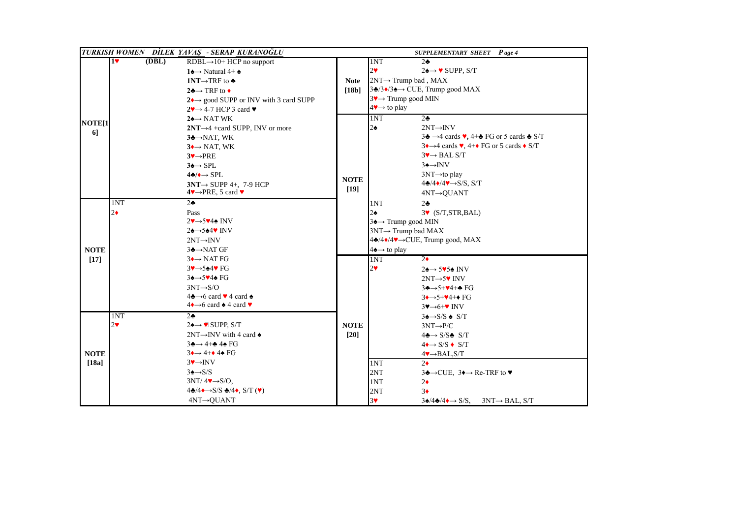|                    |                                                  | TURKISH WOMEN DİLEK YAVAŞ - SERAP KURANOĞLU                              |             |                                                  | <b>SUPPLEMENTARY SHEET</b> Page 4                                                                    |
|--------------------|--------------------------------------------------|--------------------------------------------------------------------------|-------------|--------------------------------------------------|------------------------------------------------------------------------------------------------------|
|                    | $1\textcolor{blue}{\blacktriangledown}$<br>(DBL) | $RDBL \rightarrow 10+ HCP$ no support                                    |             | 1NT                                              | 2 <sub>2</sub>                                                                                       |
|                    |                                                  | 14 $\rightarrow$ Natural 4+4                                             |             | 2 <sup>4</sup>                                   | $2\spadesuit \rightarrow \blacktriangledown$ SUPP, S/T                                               |
|                    |                                                  | 1NT $\rightarrow$ TRF to $\clubsuit$                                     | <b>Note</b> | $2NT \rightarrow Trump$ bad, MAX                 |                                                                                                      |
|                    |                                                  | $2\clubsuit \rightarrow \text{TRF}$ to $\bullet$                         | [18b]       |                                                  | $3\clubsuit/3\spadesuit/3\spadesuit \rightarrow$ CUE, Trump good MAX                                 |
|                    |                                                  | $2 \rightarrow \text{good }$ SUPP or INV with 3 card SUPP                |             | $3\blacktriangledown \rightarrow$ Trump good MIN |                                                                                                      |
|                    |                                                  | $2\rightarrow 4-7$ HCP 3 card $\blacktriangledown$                       |             | $4\blacktriangleright\rightarrow$ to play        |                                                                                                      |
|                    |                                                  | $2 \rightarrow \text{NAT WK}$                                            |             | 1NT                                              | $2\clubsuit$                                                                                         |
| NOTE <sup>[1</sup> |                                                  | $2NT \rightarrow 4 + card$ SUPP, INV or more                             |             | $2\spadesuit$                                    | $2NT \rightarrow INV$                                                                                |
| 6]                 |                                                  | $3 \rightarrow NAT$ , WK                                                 |             |                                                  | $3\clubsuit \rightarrow 4$ cards $\blacktriangledown$ , 4+ $\clubsuit$ FG or 5 cards $\clubsuit$ S/T |
|                    |                                                  | $3 \rightarrow \text{NAT}$ , WK                                          |             |                                                  | $3 \rightarrow 4$ cards $\vee$ , 4+ $\bullet$ FG or 5 cards $\bullet$ S/T                            |
|                    |                                                  | $3 \rightarrow PRE$                                                      |             |                                                  | $3 \rightarrow BAL S/T$                                                                              |
|                    |                                                  | $3 \triangle \rightarrow$ SPL                                            |             |                                                  | $3 \rightarrow \text{INV}$                                                                           |
|                    |                                                  | $4\clubsuit/\bullet \rightarrow$ SPL.                                    |             |                                                  | $3NT \rightarrow to play$                                                                            |
|                    |                                                  | $3NT \rightarrow$ SUPP 4+, 7-9 HCP                                       | <b>NOTE</b> |                                                  | $4\clubsuit/4\blacklozenge/4\Psi \rightarrow S/S$ , S/T                                              |
|                    |                                                  | $4 \vee \rightarrow PRE$ , 5 card $\vee$                                 | $[19]$      |                                                  | 4NT→QUANT                                                                                            |
|                    | 1NT                                              | $2\clubsuit$                                                             |             | 1NT                                              | $2\clubsuit$                                                                                         |
|                    | $2\bullet$                                       | Pass                                                                     |             | $2\spadesuit$                                    | $3\blacktriangleright$ (S/T, STR, BAL)                                                               |
|                    |                                                  | 2♥→5♥4 <del></del> INV                                                   |             | 34→ Trump good MIN                               |                                                                                                      |
|                    |                                                  | $2\spadesuit \rightarrow 5\spadesuit 4\spadesuit$ INV                    |             | $3NT \rightarrow Trump$ bad MAX                  |                                                                                                      |
|                    |                                                  | $2NT \rightarrow INV$                                                    |             | 4 <del>2</del> /4♦/4♥→CUE, Trump good, MAX       |                                                                                                      |
| <b>NOTE</b>        |                                                  | $3 \rightarrow NAT$ GF                                                   |             | $4\spadesuit \rightarrow$ to play                |                                                                                                      |
| $[17]$             |                                                  | $3 \rightarrow$ NAT FG                                                   |             | 1NT                                              | $\overline{2\bullet}$                                                                                |
|                    |                                                  | $3 \rightarrow 544$ FG                                                   |             | 2 <sub>Y</sub>                                   | $24 \rightarrow 5954$ INV                                                                            |
|                    |                                                  | $34 \rightarrow 544$ FG                                                  |             |                                                  | $2NT \rightarrow 5$ INV                                                                              |
|                    |                                                  | $3NT \rightarrow S/O$                                                    |             |                                                  | $3\clubsuit \rightarrow 5+\blacktriangledown 4+\clubsuit$ FG                                         |
|                    |                                                  | $4\clubsuit \rightarrow 6$ card $\blacktriangledown$ 4 card $\spadesuit$ |             |                                                  | $3 \rightarrow 5 + 4 + 6$ FG                                                                         |
|                    |                                                  | $4 \rightarrow 6$ card $\triangle 4$ card $\triangledown$                |             |                                                  | $3\blacktriangledown \rightarrow 6+\blacktriangledown$ INV                                           |
|                    | 1NT                                              | $2\clubsuit$                                                             |             |                                                  | $3 \triangle \rightarrow$ S/S $\triangle$ S/T                                                        |
|                    | 2 <sub>v</sub>                                   | $2\spadesuit \rightarrow \blacksquare$ SUPP, S/T                         | <b>NOTE</b> |                                                  | $3NT \rightarrow P/C$                                                                                |
|                    |                                                  | $2NT \rightarrow MV$ with 4 card $\triangle$                             | $[20]$      |                                                  | $4\clubsuit \rightarrow S/S\clubsuit S/T$                                                            |
|                    |                                                  | $3\clubsuit \rightarrow 4 + \clubsuit 4\spadesuit$ FG                    |             |                                                  | $4 \rightarrow S/S \rightarrow S/T$                                                                  |
| <b>NOTE</b>        |                                                  | $3 \rightarrow 4 + 4 \cdot 4 \cdot 5$                                    |             |                                                  | $4 \rightarrow BAL$ , S/T                                                                            |
| [18a]              |                                                  | $3 \rightarrow \text{INV}$                                               |             | 1NT                                              | $2\bullet$                                                                                           |
|                    |                                                  | $3 \triangle \rightarrow S/S$                                            |             | 2NT                                              | $3\clubsuit \rightarrow$ CUE, $3\spadesuit \rightarrow$ Re-TRF to $\blacktriangledown$               |
|                    |                                                  | $3NT/44 \rightarrow S/O$ ,                                               |             | 1NT                                              | $2\bullet$                                                                                           |
|                    |                                                  | $4\clubsuit/4\bullet\rightarrow S/S\clubsuit/4\bullet$ , S/T (V)         |             | 2NT                                              | 3 <sub>•</sub>                                                                                       |
|                    |                                                  | $4NT \rightarrow QUANT$                                                  |             | 3 <sup>4</sup>                                   | $3\spadesuit/4\spadesuit/4\spadesuit \rightarrow S/S$ , $3NT \rightarrow BAL$ , S/T                  |